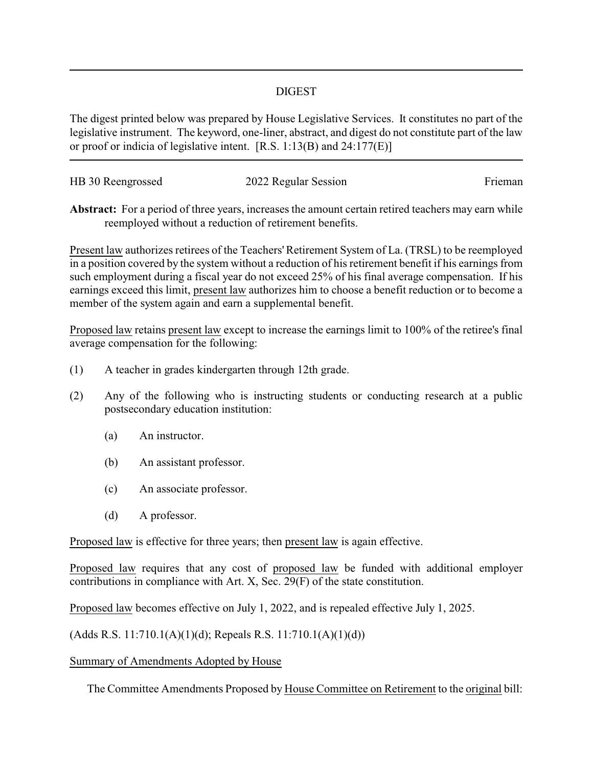## DIGEST

The digest printed below was prepared by House Legislative Services. It constitutes no part of the legislative instrument. The keyword, one-liner, abstract, and digest do not constitute part of the law or proof or indicia of legislative intent. [R.S. 1:13(B) and 24:177(E)]

| HB 30 Reengrossed | 2022 Regular Session | Frieman |
|-------------------|----------------------|---------|
|                   |                      |         |

**Abstract:** For a period of three years, increases the amount certain retired teachers may earn while reemployed without a reduction of retirement benefits.

Present law authorizes retirees of the Teachers'Retirement System of La. (TRSL) to be reemployed in a position covered by the system without a reduction of his retirement benefit if his earnings from such employment during a fiscal year do not exceed 25% of his final average compensation. If his earnings exceed this limit, present law authorizes him to choose a benefit reduction or to become a member of the system again and earn a supplemental benefit.

Proposed law retains present law except to increase the earnings limit to 100% of the retiree's final average compensation for the following:

- (1) A teacher in grades kindergarten through 12th grade.
- (2) Any of the following who is instructing students or conducting research at a public postsecondary education institution:
	- (a) An instructor.
	- (b) An assistant professor.
	- (c) An associate professor.
	- (d) A professor.

Proposed law is effective for three years; then present law is again effective.

Proposed law requires that any cost of proposed law be funded with additional employer contributions in compliance with Art. X, Sec. 29(F) of the state constitution.

Proposed law becomes effective on July 1, 2022, and is repealed effective July 1, 2025.

(Adds R.S. 11:710.1(A)(1)(d); Repeals R.S. 11:710.1(A)(1)(d))

## Summary of Amendments Adopted by House

The Committee Amendments Proposed by House Committee on Retirement to the original bill: